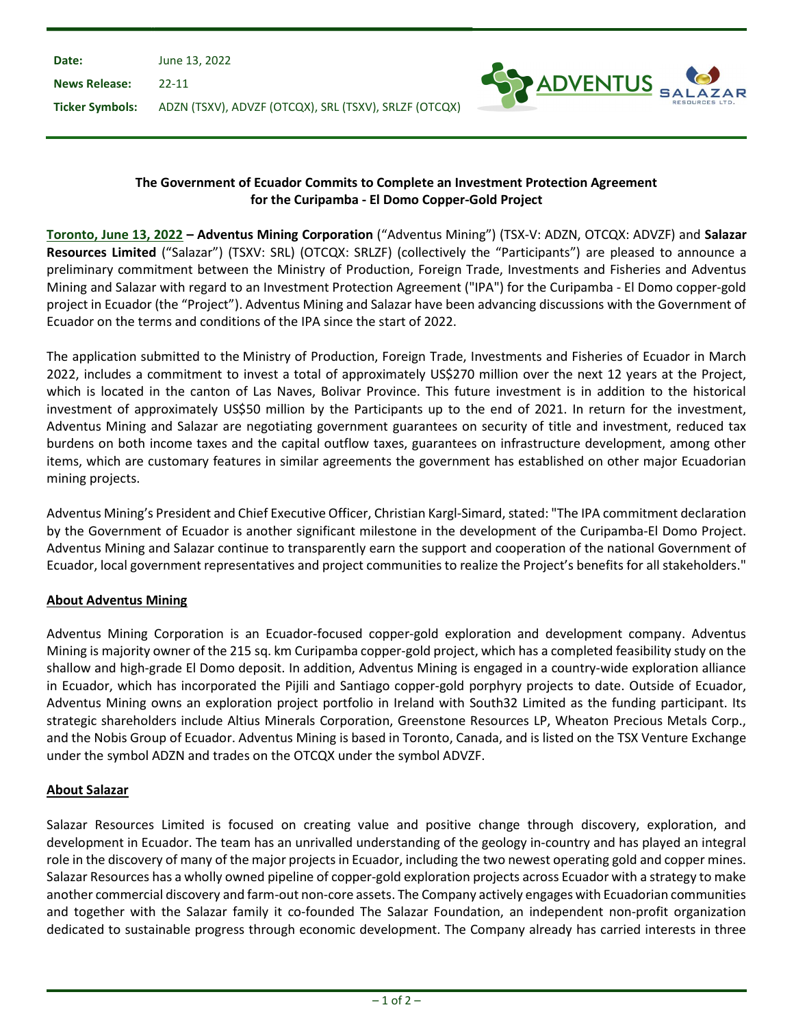| June 13, 2022                                                         |  |
|-----------------------------------------------------------------------|--|
| -22-11                                                                |  |
| Ticker Symbols: ADZN (TSXV), ADVZF (OTCQX), SRL (TSXV), SRLZF (OTCQX) |  |
|                                                                       |  |



## The Government of Ecuador Commits to Complete an Investment Protection Agreement for the Curipamba - El Domo Copper-Gold Project

Toronto, June 13, 2022 – Adventus Mining Corporation ("Adventus Mining") (TSX-V: ADZN, OTCQX: ADVZF) and Salazar Resources Limited ("Salazar") (TSXV: SRL) (OTCQX: SRLZF) (collectively the "Participants") are pleased to announce a preliminary commitment between the Ministry of Production, Foreign Trade, Investments and Fisheries and Adventus Mining and Salazar with regard to an Investment Protection Agreement ("IPA") for the Curipamba - El Domo copper-gold project in Ecuador (the "Project"). Adventus Mining and Salazar have been advancing discussions with the Government of Ecuador on the terms and conditions of the IPA since the start of 2022.

The application submitted to the Ministry of Production, Foreign Trade, Investments and Fisheries of Ecuador in March 2022, includes a commitment to invest a total of approximately US\$270 million over the next 12 years at the Project, which is located in the canton of Las Naves, Bolivar Province. This future investment is in addition to the historical investment of approximately US\$50 million by the Participants up to the end of 2021. In return for the investment, Adventus Mining and Salazar are negotiating government guarantees on security of title and investment, reduced tax burdens on both income taxes and the capital outflow taxes, guarantees on infrastructure development, among other items, which are customary features in similar agreements the government has established on other major Ecuadorian mining projects.

Adventus Mining's President and Chief Executive Officer, Christian Kargl-Simard, stated: "The IPA commitment declaration by the Government of Ecuador is another significant milestone in the development of the Curipamba-El Domo Project. Adventus Mining and Salazar continue to transparently earn the support and cooperation of the national Government of Ecuador, local government representatives and project communities to realize the Project's benefits for all stakeholders."

## About Adventus Mining

Adventus Mining Corporation is an Ecuador-focused copper-gold exploration and development company. Adventus Mining is majority owner of the 215 sq. km Curipamba copper-gold project, which has a completed feasibility study on the shallow and high-grade El Domo deposit. In addition, Adventus Mining is engaged in a country-wide exploration alliance in Ecuador, which has incorporated the Pijili and Santiago copper-gold porphyry projects to date. Outside of Ecuador, Adventus Mining owns an exploration project portfolio in Ireland with South32 Limited as the funding participant. Its strategic shareholders include Altius Minerals Corporation, Greenstone Resources LP, Wheaton Precious Metals Corp., and the Nobis Group of Ecuador. Adventus Mining is based in Toronto, Canada, and is listed on the TSX Venture Exchange under the symbol ADZN and trades on the OTCQX under the symbol ADVZF.

## About Salazar

Salazar Resources Limited is focused on creating value and positive change through discovery, exploration, and development in Ecuador. The team has an unrivalled understanding of the geology in-country and has played an integral role in the discovery of many of the major projects in Ecuador, including the two newest operating gold and copper mines. Salazar Resources has a wholly owned pipeline of copper-gold exploration projects across Ecuador with a strategy to make another commercial discovery and farm-out non-core assets. The Company actively engages with Ecuadorian communities and together with the Salazar family it co-founded The Salazar Foundation, an independent non-profit organization dedicated to sustainable progress through economic development. The Company already has carried interests in three